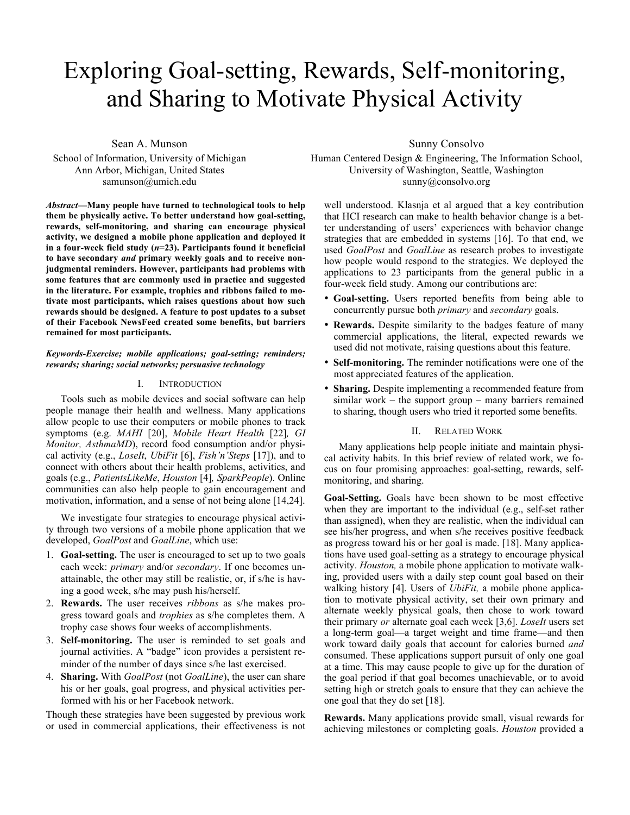# Exploring Goal-setting, Rewards, Self-monitoring, and Sharing to Motivate Physical Activity

Sean A. Munson

School of Information, University of Michigan Ann Arbor, Michigan, United States samunson@umich.edu

*Abstract***—Many people have turned to technological tools to help them be physically active. To better understand how goal-setting, rewards, self-monitoring, and sharing can encourage physical activity, we designed a mobile phone application and deployed it in a four-week field study (***n***=23). Participants found it beneficial to have secondary** *and* **primary weekly goals and to receive nonjudgmental reminders. However, participants had problems with some features that are commonly used in practice and suggested in the literature. For example, trophies and ribbons failed to motivate most participants, which raises questions about how such rewards should be designed. A feature to post updates to a subset of their Facebook NewsFeed created some benefits, but barriers remained for most participants.**

## *Keywords-Exercise; mobile applications; goal-setting; reminders; rewards; sharing; social networks; persuasive technology*

## I. INTRODUCTION

Tools such as mobile devices and social software can help people manage their health and wellness. Many applications allow people to use their computers or mobile phones to track symptoms (e.g. *MAHI* [20], *Mobile Heart Health* [22]*, GI Monitor, AsthmaMD*), record food consumption and/or physical activity (e.g., *LoseIt*, *UbiFit* [6], *Fish'n'Steps* [17]), and to connect with others about their health problems, activities, and goals (e.g., *PatientsLikeMe*, *Houston* [4]*, SparkPeople*). Online communities can also help people to gain encouragement and motivation, information, and a sense of not being alone [14,24].

We investigate four strategies to encourage physical activity through two versions of a mobile phone application that we developed, *GoalPost* and *GoalLine*, which use:

- 1. **Goal-setting.** The user is encouraged to set up to two goals each week: *primary* and/or *secondary*. If one becomes unattainable, the other may still be realistic, or, if s/he is having a good week, s/he may push his/herself.
- 2. **Rewards.** The user receives *ribbons* as s/he makes progress toward goals and *trophies* as s/he completes them. A trophy case shows four weeks of accomplishments.
- 3. **Self-monitoring.** The user is reminded to set goals and journal activities. A "badge" icon provides a persistent reminder of the number of days since s/he last exercised.
- 4. **Sharing.** With *GoalPost* (not *GoalLine*), the user can share his or her goals, goal progress, and physical activities performed with his or her Facebook network.

Though these strategies have been suggested by previous work or used in commercial applications, their effectiveness is not

## Sunny Consolvo

Human Centered Design & Engineering, The Information School, University of Washington, Seattle, Washington sunny@consolvo.org

well understood. Klasnja et al argued that a key contribution that HCI research can make to health behavior change is a better understanding of users' experiences with behavior change strategies that are embedded in systems [16]. To that end, we used *GoalPost* and *GoalLine* as research probes to investigate how people would respond to the strategies. We deployed the applications to 23 participants from the general public in a four-week field study. Among our contributions are:

- **Goal-setting.** Users reported benefits from being able to concurrently pursue both *primary* and *secondary* goals.
- **Rewards.** Despite similarity to the badges feature of many commercial applications, the literal, expected rewards we used did not motivate, raising questions about this feature.
- **Self-monitoring.** The reminder notifications were one of the most appreciated features of the application.
- **Sharing.** Despite implementing a recommended feature from similar work – the support group – many barriers remained to sharing, though users who tried it reported some benefits.

## II. RELATED WORK

Many applications help people initiate and maintain physical activity habits. In this brief review of related work, we focus on four promising approaches: goal-setting, rewards, selfmonitoring, and sharing.

**Goal-Setting.** Goals have been shown to be most effective when they are important to the individual (e.g., self-set rather than assigned), when they are realistic, when the individual can see his/her progress, and when s/he receives positive feedback as progress toward his or her goal is made. [18]. Many applications have used goal-setting as a strategy to encourage physical activity. *Houston,* a mobile phone application to motivate walking, provided users with a daily step count goal based on their walking history [4]. Users of *UbiFit,* a mobile phone application to motivate physical activity, set their own primary and alternate weekly physical goals, then chose to work toward their primary *or* alternate goal each week [3,6]. *LoseIt* users set a long-term goal—a target weight and time frame—and then work toward daily goals that account for calories burned *and* consumed. These applications support pursuit of only one goal at a time. This may cause people to give up for the duration of the goal period if that goal becomes unachievable, or to avoid setting high or stretch goals to ensure that they can achieve the one goal that they do set [18].

**Rewards.** Many applications provide small, visual rewards for achieving milestones or completing goals. *Houston* provided a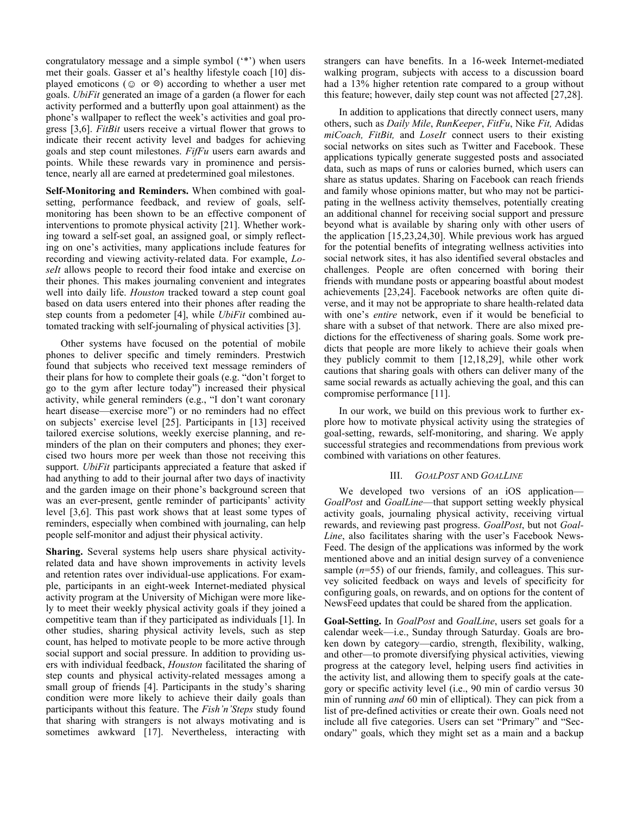congratulatory message and a simple symbol ('\*') when users met their goals. Gasser et al's healthy lifestyle coach [10] displayed emoticons ( $\odot$  or  $\odot$ ) according to whether a user met goals. *UbiFit* generated an image of a garden (a flower for each activity performed and a butterfly upon goal attainment) as the phone's wallpaper to reflect the week's activities and goal progress [3,6]. *FitBit* users receive a virtual flower that grows to indicate their recent activity level and badges for achieving goals and step count milestones. *FifFu* users earn awards and points. While these rewards vary in prominence and persistence, nearly all are earned at predetermined goal milestones.

**Self-Monitoring and Reminders.** When combined with goalsetting, performance feedback, and review of goals, selfmonitoring has been shown to be an effective component of interventions to promote physical activity [21]. Whether working toward a self-set goal, an assigned goal, or simply reflecting on one's activities, many applications include features for recording and viewing activity-related data. For example, *LoseIt* allows people to record their food intake and exercise on their phones. This makes journaling convenient and integrates well into daily life. *Houston* tracked toward a step count goal based on data users entered into their phones after reading the step counts from a pedometer [4], while *UbiFit* combined automated tracking with self-journaling of physical activities [3].

Other systems have focused on the potential of mobile phones to deliver specific and timely reminders. Prestwich found that subjects who received text message reminders of their plans for how to complete their goals (e.g. "don't forget to go to the gym after lecture today") increased their physical activity, while general reminders (e.g., "I don't want coronary heart disease—exercise more") or no reminders had no effect on subjects' exercise level [25]. Participants in [13] received tailored exercise solutions, weekly exercise planning, and reminders of the plan on their computers and phones; they exercised two hours more per week than those not receiving this support. *UbiFit* participants appreciated a feature that asked if had anything to add to their journal after two days of inactivity and the garden image on their phone's background screen that was an ever-present, gentle reminder of participants' activity level [3,6]. This past work shows that at least some types of reminders, especially when combined with journaling, can help people self-monitor and adjust their physical activity.

**Sharing.** Several systems help users share physical activityrelated data and have shown improvements in activity levels and retention rates over individual-use applications. For example, participants in an eight-week Internet-mediated physical activity program at the University of Michigan were more likely to meet their weekly physical activity goals if they joined a competitive team than if they participated as individuals [1]. In other studies, sharing physical activity levels, such as step count, has helped to motivate people to be more active through social support and social pressure. In addition to providing users with individual feedback, *Houston* facilitated the sharing of step counts and physical activity-related messages among a small group of friends [4]. Participants in the study's sharing condition were more likely to achieve their daily goals than participants without this feature. The *Fish'n'Steps* study found that sharing with strangers is not always motivating and is sometimes awkward [17]. Nevertheless, interacting with

strangers can have benefits. In a 16-week Internet-mediated walking program, subjects with access to a discussion board had a 13% higher retention rate compared to a group without this feature; however, daily step count was not affected [27,28].

In addition to applications that directly connect users, many others, such as *Daily Mile*, *RunKeeper*, *FitFu*, Nike *Fit,* Adidas *miCoach, FitBit,* and *LoseIt*, connect users to their existing social networks on sites such as Twitter and Facebook. These applications typically generate suggested posts and associated data, such as maps of runs or calories burned, which users can share as status updates. Sharing on Facebook can reach friends and family whose opinions matter, but who may not be participating in the wellness activity themselves, potentially creating an additional channel for receiving social support and pressure beyond what is available by sharing only with other users of the application [15,23,24,30]. While previous work has argued for the potential benefits of integrating wellness activities into social network sites, it has also identified several obstacles and challenges. People are often concerned with boring their friends with mundane posts or appearing boastful about modest achievements [23,24]. Facebook networks are often quite diverse, and it may not be appropriate to share health-related data with one's *entire* network, even if it would be beneficial to share with a subset of that network. There are also mixed predictions for the effectiveness of sharing goals. Some work predicts that people are more likely to achieve their goals when they publicly commit to them [12,18,29], while other work cautions that sharing goals with others can deliver many of the same social rewards as actually achieving the goal, and this can compromise performance [11].

In our work, we build on this previous work to further explore how to motivate physical activity using the strategies of goal-setting, rewards, self-monitoring, and sharing. We apply successful strategies and recommendations from previous work combined with variations on other features.

## III. *GOALPOST* AND *GOALLINE*

We developed two versions of an iOS application— *GoalPost* and *GoalLine*—that support setting weekly physical activity goals, journaling physical activity, receiving virtual rewards, and reviewing past progress. *GoalPost*, but not *Goal-Line*, also facilitates sharing with the user's Facebook News-Feed. The design of the applications was informed by the work mentioned above and an initial design survey of a convenience sample (*n*=55) of our friends, family, and colleagues. This survey solicited feedback on ways and levels of specificity for configuring goals, on rewards, and on options for the content of NewsFeed updates that could be shared from the application.

**Goal-Setting.** In *GoalPost* and *GoalLine*, users set goals for a calendar week—i.e., Sunday through Saturday. Goals are broken down by category—cardio, strength, flexibility, walking, and other—to promote diversifying physical activities, viewing progress at the category level, helping users find activities in the activity list, and allowing them to specify goals at the category or specific activity level (i.e., 90 min of cardio versus 30 min of running *and* 60 min of elliptical). They can pick from a list of pre-defined activities or create their own. Goals need not include all five categories. Users can set "Primary" and "Secondary" goals, which they might set as a main and a backup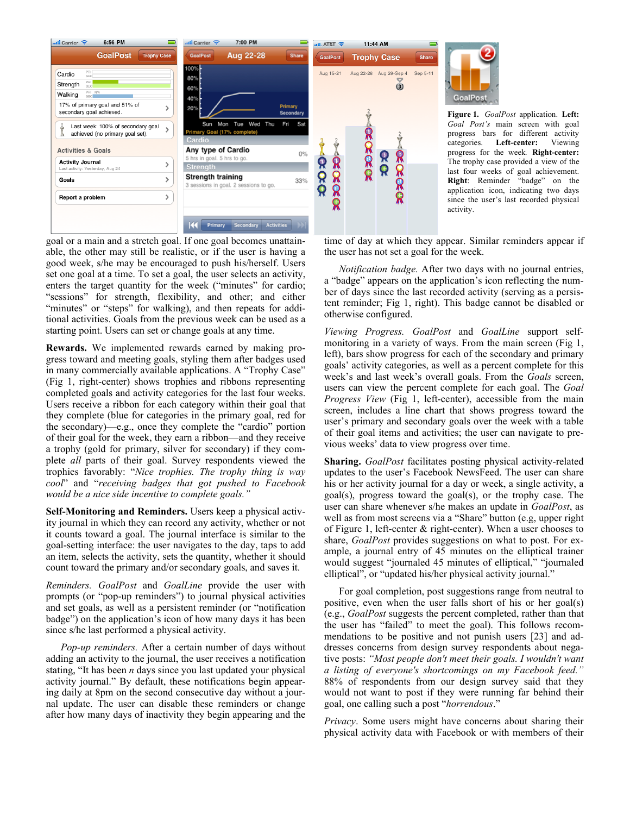

categories. **Left-center:** Viewing progress for the week*.* **Right-center:** The trophy case provided a view of the last four weeks of goal achievement. **Right**: Reminder "badge" on the application icon, indicating two days since the user's last recorded physical

goal or a main and a stretch goal. If one goal becomes unattainable, the other may still be realistic, or if the user is having a good week, s/he may be encouraged to push his/herself. Users set one goal at a time. To set a goal, the user selects an activity, enters the target quantity for the week ("minutes" for cardio; "sessions" for strength, flexibility, and other; and either "minutes" or "steps" for walking), and then repeats for additional activities. Goals from the previous week can be used as a starting point. Users can set or change goals at any time.

**Rewards.** We implemented rewards earned by making progress toward and meeting goals, styling them after badges used in many commercially available applications. A "Trophy Case" (Fig 1, right-center) shows trophies and ribbons representing completed goals and activity categories for the last four weeks. Users receive a ribbon for each category within their goal that they complete (blue for categories in the primary goal, red for the secondary)—e.g., once they complete the "cardio" portion of their goal for the week, they earn a ribbon—and they receive a trophy (gold for primary, silver for secondary) if they complete *all* parts of their goal. Survey respondents viewed the trophies favorably: "*Nice trophies. The trophy thing is way cool*" and "*receiving badges that got pushed to Facebook would be a nice side incentive to complete goals."*

**Self-Monitoring and Reminders.** Users keep a physical activity journal in which they can record any activity, whether or not it counts toward a goal. The journal interface is similar to the goal-setting interface: the user navigates to the day, taps to add an item, selects the activity, sets the quantity, whether it should count toward the primary and/or secondary goals, and saves it.

*Reminders. GoalPost* and *GoalLine* provide the user with prompts (or "pop-up reminders") to journal physical activities and set goals, as well as a persistent reminder (or "notification badge") on the application's icon of how many days it has been since s/he last performed a physical activity.

*Pop-up reminders.* After a certain number of days without adding an activity to the journal, the user receives a notification stating, "It has been *n* days since you last updated your physical activity journal." By default, these notifications begin appearing daily at 8pm on the second consecutive day without a journal update. The user can disable these reminders or change after how many days of inactivity they begin appearing and the

time of day at which they appear. Similar reminders appear if the user has not set a goal for the week.

*Notification badge.* After two days with no journal entries, a "badge" appears on the application's icon reflecting the number of days since the last recorded activity (serving as a persistent reminder; Fig 1, right). This badge cannot be disabled or otherwise configured.

*Viewing Progress. GoalPost* and *GoalLine* support selfmonitoring in a variety of ways. From the main screen (Fig 1, left), bars show progress for each of the secondary and primary goals' activity categories, as well as a percent complete for this week's and last week's overall goals. From the *Goals* screen, users can view the percent complete for each goal. The *Goal Progress View* (Fig 1, left-center), accessible from the main screen, includes a line chart that shows progress toward the user's primary and secondary goals over the week with a table of their goal items and activities; the user can navigate to previous weeks' data to view progress over time.

**Sharing.** *GoalPost* facilitates posting physical activity-related updates to the user's Facebook NewsFeed. The user can share his or her activity journal for a day or week, a single activity, a goal(s), progress toward the goal(s), or the trophy case. The user can share whenever s/he makes an update in *GoalPost*, as well as from most screens via a "Share" button (e.g, upper right of Figure 1, left-center & right-center). When a user chooses to share, *GoalPost* provides suggestions on what to post. For example, a journal entry of 45 minutes on the elliptical trainer would suggest "journaled 45 minutes of elliptical," "journaled elliptical", or "updated his/her physical activity journal."

For goal completion, post suggestions range from neutral to positive, even when the user falls short of his or her goal(s) (e.g., *GoalPost* suggests the percent completed, rather than that the user has "failed" to meet the goal). This follows recommendations to be positive and not punish users [23] and addresses concerns from design survey respondents about negative posts: *"Most people don't meet their goals. I wouldn't want a listing of everyone's shortcomings on my Facebook feed."* 88% of respondents from our design survey said that they would not want to post if they were running far behind their goal, one calling such a post "*horrendous*."

*Privacy*. Some users might have concerns about sharing their physical activity data with Facebook or with members of their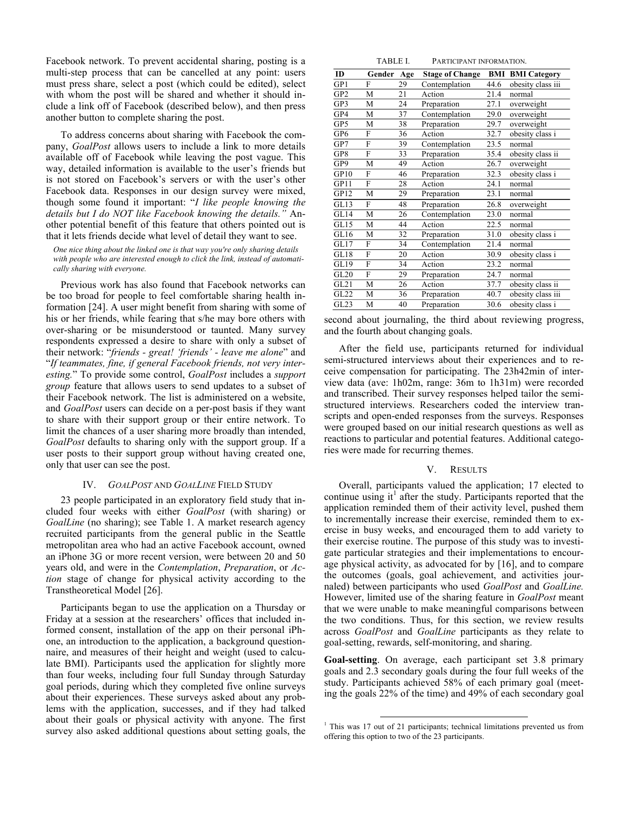Facebook network. To prevent accidental sharing, posting is a multi-step process that can be cancelled at any point: users must press share, select a post (which could be edited), select with whom the post will be shared and whether it should include a link off of Facebook (described below), and then press another button to complete sharing the post.

To address concerns about sharing with Facebook the company, *GoalPost* allows users to include a link to more details available off of Facebook while leaving the post vague. This way, detailed information is available to the user's friends but is not stored on Facebook's servers or with the user's other Facebook data. Responses in our design survey were mixed, though some found it important: "*I like people knowing the details but I do NOT like Facebook knowing the details."* Another potential benefit of this feature that others pointed out is that it lets friends decide what level of detail they want to see.

*One nice thing about the linked one is that way you're only sharing details with people who are interested enough to click the link, instead of automatically sharing with everyone.*

Previous work has also found that Facebook networks can be too broad for people to feel comfortable sharing health information [24]. A user might benefit from sharing with some of his or her friends, while fearing that s/he may bore others with over-sharing or be misunderstood or taunted. Many survey respondents expressed a desire to share with only a subset of their network: "*friends - great! ʻfriends' - leave me alone*" and "*If teammates, fine, if general Facebook friends, not very interesting.*" To provide some control, *GoalPost* includes a *support group* feature that allows users to send updates to a subset of their Facebook network. The list is administered on a website, and *GoalPost* users can decide on a per-post basis if they want to share with their support group or their entire network. To limit the chances of a user sharing more broadly than intended, *GoalPost* defaults to sharing only with the support group. If a user posts to their support group without having created one, only that user can see the post.

### IV. *GOALPOST* AND *GOALLINE* FIELD STUDY

23 people participated in an exploratory field study that included four weeks with either *GoalPost* (with sharing) or *GoalLine* (no sharing); see Table 1. A market research agency recruited participants from the general public in the Seattle metropolitan area who had an active Facebook account, owned an iPhone 3G or more recent version, were between 20 and 50 years old, and were in the *Contemplation*, *Preparation*, or *Action* stage of change for physical activity according to the Transtheoretical Model [26].

Participants began to use the application on a Thursday or Friday at a session at the researchers' offices that included informed consent, installation of the app on their personal iPhone, an introduction to the application, a background questionnaire, and measures of their height and weight (used to calculate BMI). Participants used the application for slightly more than four weeks, including four full Sunday through Saturday goal periods, during which they completed five online surveys about their experiences. These surveys asked about any problems with the application, successes, and if they had talked about their goals or physical activity with anyone. The first survey also asked additional questions about setting goals, the

| TABLE L | PARTICIPANT INFORMATION. |
|---------|--------------------------|
|---------|--------------------------|

| ID              | Gender | Age | <b>Stage of Change</b> | BMI  | <b>BMI</b> Category |
|-----------------|--------|-----|------------------------|------|---------------------|
| GP1             | F      | 29  | Contemplation          | 44.6 | obesity class iii   |
| GP <sub>2</sub> | M      | 21  | Action                 | 21.4 | normal              |
| GP3             | M      | 24  | Preparation            | 27.1 | overweight          |
| GP4             | M      | 37  | Contemplation          | 29.0 | overweight          |
| GP5             | M      | 38  | Preparation            | 29.7 | overweight          |
| GP6             | F      | 36  | Action                 | 32.7 | obesity class i     |
| GP7             | F      | 39  | Contemplation          | 23.5 | normal              |
| GP8             | F      | 33  | Preparation            | 35.4 | obesity class ii    |
| GP9             | М      | 49  | Action                 | 26.7 | overweight          |
| GP10            | F      | 46  | Preparation            | 32.3 | obesity class i     |
| GP11            | F      | 28  | Action                 | 24.1 | normal              |
| GP12            | M      | 29  | Preparation            | 23.1 | normal              |
| GL13            | F      | 48  | Preparation            | 26.8 | overweight          |
| GL14            | M      | 26  | Contemplation          | 23.0 | normal              |
| GL15            | М      | 44  | Action                 | 22.5 | normal              |
| GL16            | М      | 32  | Preparation            | 31.0 | obesity class i     |
| GL17            | F      | 34  | Contemplation          | 21.4 | normal              |
| GL18            | F      | 20  | Action                 | 30.9 | obesity class i     |
| GL19            | F      | 34  | Action                 | 23.2 | normal              |
| GL20            | F      | 29  | Preparation            | 24.7 | normal              |
| GL21            | M      | 26  | Action                 | 37.7 | obesity class ii    |
| GL22            | M      | 36  | Preparation            | 40.7 | obesity class iii   |
| GL23            | М      | 40  | Preparation            | 30.6 | obesity class i     |

second about journaling, the third about reviewing progress, and the fourth about changing goals.

After the field use, participants returned for individual semi-structured interviews about their experiences and to receive compensation for participating. The 23h42min of interview data (ave: 1h02m, range: 36m to 1h31m) were recorded and transcribed. Their survey responses helped tailor the semistructured interviews. Researchers coded the interview transcripts and open-ended responses from the surveys. Responses were grouped based on our initial research questions as well as reactions to particular and potential features. Additional categories were made for recurring themes.

### V. RESULTS

Overall, participants valued the application; 17 elected to continue using it<sup>1</sup> after the study. Participants reported that the application reminded them of their activity level, pushed them to incrementally increase their exercise, reminded them to exercise in busy weeks, and encouraged them to add variety to their exercise routine. The purpose of this study was to investigate particular strategies and their implementations to encourage physical activity, as advocated for by [16], and to compare the outcomes (goals, goal achievement, and activities journaled) between participants who used *GoalPost* and *GoalLine.* However, limited use of the sharing feature in *GoalPost* meant that we were unable to make meaningful comparisons between the two conditions. Thus, for this section, we review results across *GoalPost* and *GoalLine* participants as they relate to goal-setting, rewards, self-monitoring, and sharing.

**Goal-setting**. On average, each participant set 3.8 primary goals and 2.3 secondary goals during the four full weeks of the study. Participants achieved 58% of each primary goal (meeting the goals 22% of the time) and 49% of each secondary goal

 $1$ <sup>1</sup> This was 17 out of 21 participants; technical limitations prevented us from offering this option to two of the 23 participants.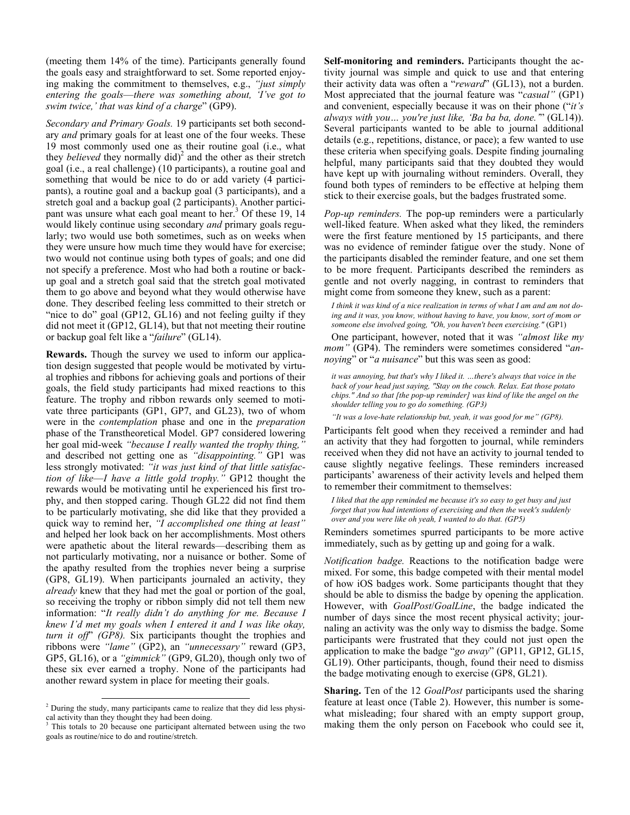(meeting them 14% of the time). Participants generally found the goals easy and straightforward to set. Some reported enjoying making the commitment to themselves, e.g., *"just simply entering the goals*—*there was something about, 'I've got to swim twice,' that was kind of a charge*" (GP9).

*Secondary and Primary Goals.* 19 participants set both secondary *and* primary goals for at least one of the four weeks. These 19 most commonly used one as their routine goal (i.e., what they *believed* they normally did)<sup>2</sup> and the other as their stretch goal (i.e., a real challenge) (10 participants), a routine goal and something that would be nice to do or add variety (4 participants), a routine goal and a backup goal (3 participants), and a stretch goal and a backup goal (2 participants). Another participant was unsure what each goal meant to her.<sup>3</sup> Of these 19, 14 would likely continue using secondary *and* primary goals regularly; two would use both sometimes, such as on weeks when they were unsure how much time they would have for exercise; two would not continue using both types of goals; and one did not specify a preference. Most who had both a routine or backup goal and a stretch goal said that the stretch goal motivated them to go above and beyond what they would otherwise have done. They described feeling less committed to their stretch or "nice to do" goal (GP12, GL16) and not feeling guilty if they did not meet it (GP12, GL14), but that not meeting their routine or backup goal felt like a "*failure*" (GL14).

**Rewards.** Though the survey we used to inform our application design suggested that people would be motivated by virtual trophies and ribbons for achieving goals and portions of their goals, the field study participants had mixed reactions to this feature. The trophy and ribbon rewards only seemed to motivate three participants (GP1, GP7, and GL23), two of whom were in the *contemplation* phase and one in the *preparation* phase of the Transtheoretical Model. GP7 considered lowering her goal mid-week "because I really wanted the trophy thing, and described not getting one as *"disappointing."* GP1 was less strongly motivated: *"it was just kind of that little satisfaction of like*—*I have a little gold trophy."* GP12 thought the rewards would be motivating until he experienced his first trophy, and then stopped caring. Though GL22 did not find them to be particularly motivating, she did like that they provided a quick way to remind her, *"I accomplished one thing at least"* and helped her look back on her accomplishments. Most others were apathetic about the literal rewards—describing them as not particularly motivating, nor a nuisance or bother. Some of the apathy resulted from the trophies never being a surprise (GP8, GL19). When participants journaled an activity, they *already* knew that they had met the goal or portion of the goal, so receiving the trophy or ribbon simply did not tell them new information: "*It really didn't do anything for me. Because I knew I'd met my goals when I entered it and I was like okay, turn it off*" *(GP8).* Six participants thought the trophies and ribbons were *"lame"* (GP2), an *"unnecessary"* reward (GP3, GP5, GL16), or a *"gimmick"* (GP9, GL20), though only two of these six ever earned a trophy. None of the participants had another reward system in place for meeting their goals.

**Self-monitoring and reminders.** Participants thought the activity journal was simple and quick to use and that entering their activity data was often a "*reward*" (GL13), not a burden. Most appreciated that the journal feature was "*casual"* (GP1) and convenient, especially because it was on their phone ("*it's always with you… you're just like, 'Ba ba ba, done.'*" (GL14)). Several participants wanted to be able to journal additional details (e.g., repetitions, distance, or pace); a few wanted to use these criteria when specifying goals. Despite finding journaling helpful, many participants said that they doubted they would have kept up with journaling without reminders. Overall, they found both types of reminders to be effective at helping them stick to their exercise goals, but the badges frustrated some.

*Pop-up reminders.* The pop-up reminders were a particularly well-liked feature. When asked what they liked, the reminders were the first feature mentioned by 15 participants, and there was no evidence of reminder fatigue over the study. None of the participants disabled the reminder feature, and one set them to be more frequent. Participants described the reminders as gentle and not overly nagging, in contrast to reminders that might come from someone they knew, such as a parent:

*I think it was kind of a nice realization in terms of what I am and am not doing and it was, you know, without having to have, you know, sort of mom or someone else involved going, "Oh, you haven't been exercising."* (GP1)

One participant, however, noted that it was *"almost like my mom"* (GP4). The reminders were sometimes considered "*annoying*" or "*a nuisance*" but this was seen as good:

*it was annoying, but that's why I liked it. …there's always that voice in the back of your head just saying, "Stay on the couch. Relax. Eat those potato chips." And so that [the pop-up reminder] was kind of like the angel on the shoulder telling you to go do something. (GP3)*

*"It was a love-hate relationship but, yeah, it was good for me" (GP8).*

Participants felt good when they received a reminder and had an activity that they had forgotten to journal, while reminders received when they did not have an activity to journal tended to cause slightly negative feelings. These reminders increased participants' awareness of their activity levels and helped them to remember their commitment to themselves:

*I liked that the app reminded me because it's so easy to get busy and just forget that you had intentions of exercising and then the week's suddenly over and you were like oh yeah, I wanted to do that. (GP5)*

Reminders sometimes spurred participants to be more active immediately, such as by getting up and going for a walk.

*Notification badge.* Reactions to the notification badge were mixed. For some, this badge competed with their mental model of how iOS badges work. Some participants thought that they should be able to dismiss the badge by opening the application. However, with *GoalPost*/*GoalLine*, the badge indicated the number of days since the most recent physical activity; journaling an activity was the only way to dismiss the badge. Some participants were frustrated that they could not just open the application to make the badge "*go away*" (GP11, GP12, GL15, GL19). Other participants, though, found their need to dismiss the badge motivating enough to exercise (GP8, GL21).

**Sharing.** Ten of the 12 *GoalPost* participants used the sharing feature at least once (Table 2). However, this number is somewhat misleading; four shared with an empty support group, making them the only person on Facebook who could see it,

<sup>&</sup>lt;sup>2</sup> During the study, many participants came to realize that they did less physical activity than they thought they had been doing.

This totals to 20 because one participant alternated between using the two goals as routine/nice to do and routine/stretch.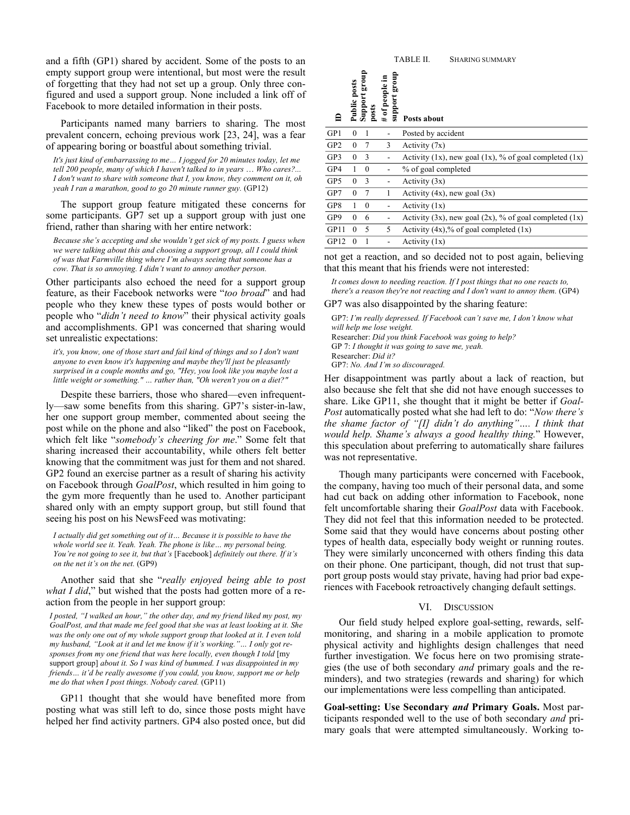and a fifth (GP1) shared by accident. Some of the posts to an empty support group were intentional, but most were the result of forgetting that they had not set up a group. Only three configured and used a support group. None included a link off of Facebook to more detailed information in their posts.

Participants named many barriers to sharing. The most prevalent concern, echoing previous work [23, 24], was a fear of appearing boring or boastful about something trivial.

*It's just kind of embarrassing to me… I jogged for 20 minutes today, let me tell 200 people, many of which I haven't talked to in years* … *Who cares?... I don't want to share with someone that I, you know, they comment on it, oh yeah I ran a marathon, good to go 20 minute runner guy.* (GP12)

The support group feature mitigated these concerns for some participants. GP7 set up a support group with just one friend, rather than sharing with her entire network:

*Because she's accepting and she wouldn't get sick of my posts. I guess when we were talking about this and choosing a support group, all I could think of was that Farmville thing where I'm always seeing that someone has a cow. That is so annoying. I didn't want to annoy another person.*

Other participants also echoed the need for a support group feature, as their Facebook networks were "*too broad*" and had people who they knew these types of posts would bother or people who "*didn't need to know*" their physical activity goals and accomplishments. GP1 was concerned that sharing would set unrealistic expectations:

*it's, you know, one of those start and fail kind of things and so I don't want anyone to even know it's happening and maybe they'll just be pleasantly surprised in a couple months and go, "Hey, you look like you maybe lost a little weight or something." … rather than, "Oh weren't you on a diet?"*

Despite these barriers, those who shared—even infrequently—saw some benefits from this sharing. GP7's sister-in-law, her one support group member, commented about seeing the post while on the phone and also "liked" the post on Facebook, which felt like "*somebody's cheering for me*." Some felt that sharing increased their accountability, while others felt better knowing that the commitment was just for them and not shared. GP2 found an exercise partner as a result of sharing his activity on Facebook through *GoalPost*, which resulted in him going to the gym more frequently than he used to. Another participant shared only with an empty support group, but still found that seeing his post on his NewsFeed was motivating:

*I actually did get something out of it… Because it is possible to have the whole world see it. Yeah. Yeah. The phone is like… my personal being. You're not going to see it, but that's* [Facebook] *definitely out there. If it's on the net it's on the net.* (GP9)

Another said that she "*really enjoyed being able to post what I did*," but wished that the posts had gotten more of a reaction from the people in her support group:

*I posted, "I walked an hour," the other day, and my friend liked my post, my GoalPost, and that made me feel good that she was at least looking at it. She was the only one out of my whole support group that looked at it. I even told my husband, "Look at it and let me know if it's working."… I only got responses from my one friend that was here locally, even though I told* [my support group] *about it. So I was kind of bummed. I was disappointed in my friends… it'd be really awesome if you could, you know, support me or help me do that when I post things. Nobody cared.* (GP11)

GP11 thought that she would have benefited more from posting what was still left to do, since those posts might have helped her find activity partners. GP4 also posted once, but did

|                 |              |                        |                                 | TABLE II.<br><b>SHARING SUMMARY</b>                            |
|-----------------|--------------|------------------------|---------------------------------|----------------------------------------------------------------|
|                 | Public posts | Support group<br>posts | dno.ra poddns<br># of people in | Posts about                                                    |
| GP1             | $\mathbf{0}$ | 1                      |                                 | Posted by accident                                             |
| GP <sub>2</sub> | $\mathbf{0}$ | 7                      | 3                               | Activity (7x)                                                  |
| GP3             | $\mathbf{0}$ | 3                      |                                 | Activity $(1x)$ , new goal $(1x)$ , % of goal completed $(1x)$ |
| GP4             | 1            | $\mathbf{0}$           |                                 | % of goal completed                                            |
| GP5             | $\mathbf{0}$ | 3                      |                                 | Activity (3x)                                                  |
| GP7             | $\theta$     | 7                      | 1                               | Activity $(4x)$ , new goal $(3x)$                              |
| GP8             | 1            | $\theta$               |                                 | Activity (1x)                                                  |
| GP9             | $\theta$     | 6                      |                                 | Activity $(3x)$ , new goal $(2x)$ , % of goal completed $(1x)$ |
| GP11            | $\theta$     | 5                      | 5                               | Activity $(4x)$ ,% of goal completed $(1x)$                    |
| GP12            | $\theta$     | 1                      |                                 | Activity (1x)                                                  |

not get a reaction, and so decided not to post again, believing that this meant that his friends were not interested:

*It comes down to needing reaction. If I post things that no one reacts to, there's a reason they're not reacting and I don't want to annoy them.* (GP4)

GP7 was also disappointed by the sharing feature:

GP7: *I'm really depressed. If Facebook can't save me, I don't know what will help me lose weight.* Researcher: *Did you think Facebook was going to help?* GP 7: *I thought it was going to save me, yeah.* Researcher: *Did it?* GP7: *No. And I'm so discouraged.*

Her disappointment was partly about a lack of reaction, but also because she felt that she did not have enough successes to share. Like GP11, she thought that it might be better if *Goal-Post* automatically posted what she had left to do: "*Now there's the shame factor of "[I] didn't do anything"…. I think that would help. Shame's always a good healthy thing.*" However, this speculation about preferring to automatically share failures was not representative.

Though many participants were concerned with Facebook, the company, having too much of their personal data, and some had cut back on adding other information to Facebook, none felt uncomfortable sharing their *GoalPost* data with Facebook. They did not feel that this information needed to be protected. Some said that they would have concerns about posting other types of health data, especially body weight or running routes. They were similarly unconcerned with others finding this data on their phone. One participant, though, did not trust that support group posts would stay private, having had prior bad experiences with Facebook retroactively changing default settings.

#### VI. DISCUSSION

Our field study helped explore goal-setting, rewards, selfmonitoring, and sharing in a mobile application to promote physical activity and highlights design challenges that need further investigation. We focus here on two promising strategies (the use of both secondary *and* primary goals and the reminders), and two strategies (rewards and sharing) for which our implementations were less compelling than anticipated.

**Goal-setting: Use Secondary** *and* **Primary Goals.** Most participants responded well to the use of both secondary *and* primary goals that were attempted simultaneously. Working to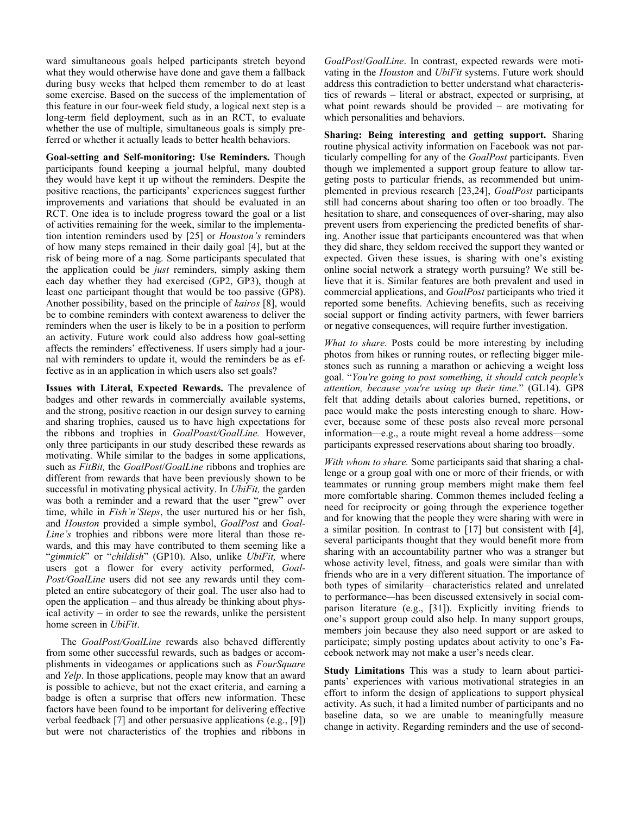ward simultaneous goals helped participants stretch beyond what they would otherwise have done and gave them a fallback during busy weeks that helped them remember to do at least some exercise. Based on the success of the implementation of this feature in our four-week field study, a logical next step is a long-term field deployment, such as in an RCT, to evaluate whether the use of multiple, simultaneous goals is simply preferred or whether it actually leads to better health behaviors.

**Goal-setting and Self-monitoring: Use Reminders.** Though participants found keeping a journal helpful, many doubted they would have kept it up without the reminders. Despite the positive reactions, the participants' experiences suggest further improvements and variations that should be evaluated in an RCT. One idea is to include progress toward the goal or a list of activities remaining for the week, similar to the implementation intention reminders used by [25] or *Houston's* reminders of how many steps remained in their daily goal [4], but at the risk of being more of a nag. Some participants speculated that the application could be *just* reminders, simply asking them each day whether they had exercised (GP2, GP3), though at least one participant thought that would be too passive (GP8). Another possibility, based on the principle of *kairos* [8], would be to combine reminders with context awareness to deliver the reminders when the user is likely to be in a position to perform an activity. Future work could also address how goal-setting affects the reminders' effectiveness. If users simply had a journal with reminders to update it, would the reminders be as effective as in an application in which users also set goals?

**Issues with Literal, Expected Rewards.** The prevalence of badges and other rewards in commercially available systems, and the strong, positive reaction in our design survey to earning and sharing trophies, caused us to have high expectations for the ribbons and trophies in *GoalPoast/GoalLine.* However, only three participants in our study described these rewards as motivating. While similar to the badges in some applications, such as *FitBit,* the *GoalPost*/*GoalLine* ribbons and trophies are different from rewards that have been previously shown to be successful in motivating physical activity. In *UbiFit,* the garden was both a reminder and a reward that the user "grew" over time, while in *Fish'n'Steps*, the user nurtured his or her fish, and *Houston* provided a simple symbol, *GoalPost* and *Goal-Line's* trophies and ribbons were more literal than those rewards, and this may have contributed to them seeming like a "*gimmick*" or "*childish*" (GP10). Also, unlike *UbiFit,* where users got a flower for every activity performed, *Goal-Post/GoalLine* users did not see any rewards until they completed an entire subcategory of their goal. The user also had to open the application – and thus already be thinking about physical activity – in order to see the rewards, unlike the persistent home screen in *UbiFit*.

The *GoalPost/GoalLine* rewards also behaved differently from some other successful rewards, such as badges or accomplishments in videogames or applications such as *FourSquare* and *Yelp*. In those applications, people may know that an award is possible to achieve, but not the exact criteria, and earning a badge is often a surprise that offers new information. These factors have been found to be important for delivering effective verbal feedback [7] and other persuasive applications (e.g., [9]) but were not characteristics of the trophies and ribbons in

*GoalPost*/*GoalLine*. In contrast, expected rewards were motivating in the *Houston* and *UbiFit* systems. Future work should address this contradiction to better understand what characteristics of rewards – literal or abstract, expected or surprising, at what point rewards should be provided – are motivating for which personalities and behaviors.

**Sharing: Being interesting and getting support.** Sharing routine physical activity information on Facebook was not particularly compelling for any of the *GoalPost* participants. Even though we implemented a support group feature to allow targeting posts to particular friends, as recommended but unimplemented in previous research [23,24], *GoalPost* participants still had concerns about sharing too often or too broadly. The hesitation to share, and consequences of over-sharing, may also prevent users from experiencing the predicted benefits of sharing. Another issue that participants encountered was that when they did share, they seldom received the support they wanted or expected. Given these issues, is sharing with one's existing online social network a strategy worth pursuing? We still believe that it is. Similar features are both prevalent and used in commercial applications, and *GoalPost* participants who tried it reported some benefits. Achieving benefits, such as receiving social support or finding activity partners, with fewer barriers or negative consequences, will require further investigation.

*What to share.* Posts could be more interesting by including photos from hikes or running routes, or reflecting bigger milestones such as running a marathon or achieving a weight loss goal. "*You're going to post something, it should catch people's attention, because you're using up their time.*" (GL14). GP8 felt that adding details about calories burned, repetitions, or pace would make the posts interesting enough to share. However, because some of these posts also reveal more personal information*—*e.g., a route might reveal a home address*—*some participants expressed reservations about sharing too broadly.

*With whom to share.* Some participants said that sharing a challenge or a group goal with one or more of their friends, or with teammates or running group members might make them feel more comfortable sharing. Common themes included feeling a need for reciprocity or going through the experience together and for knowing that the people they were sharing with were in a similar position. In contrast to [17] but consistent with [4], several participants thought that they would benefit more from sharing with an accountability partner who was a stranger but whose activity level, fitness, and goals were similar than with friends who are in a very different situation. The importance of both types of similarity*—*characteristics related and unrelated to performance*—*has been discussed extensively in social comparison literature (e.g., [31]). Explicitly inviting friends to one's support group could also help. In many support groups, members join because they also need support or are asked to participate; simply posting updates about activity to one's Facebook network may not make a user's needs clear.

**Study Limitations** This was a study to learn about participants' experiences with various motivational strategies in an effort to inform the design of applications to support physical activity. As such, it had a limited number of participants and no baseline data, so we are unable to meaningfully measure change in activity. Regarding reminders and the use of second